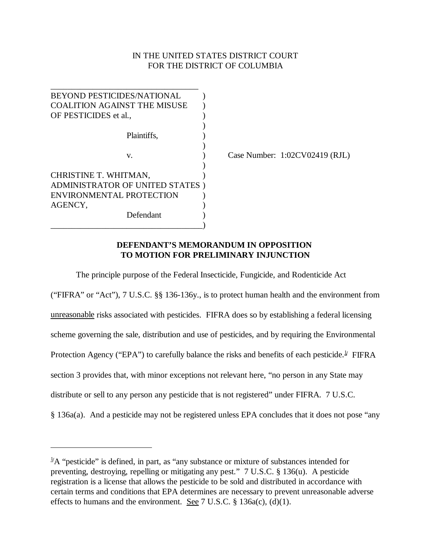# IN THE UNITED STATES DISTRICT COURT FOR THE DISTRICT OF COLUMBIA

| <b>BEYOND PESTICIDES/NATIONAL</b>   |  |
|-------------------------------------|--|
| <b>COALITION AGAINST THE MISUSE</b> |  |
| OF PESTICIDES et al.,               |  |
|                                     |  |
| Plaintiffs.                         |  |
|                                     |  |
| V.                                  |  |
|                                     |  |
| CHRISTINE T. WHITMAN,               |  |
| ADMINISTRATOR OF UNITED STATES      |  |
| ENVIRONMENTAL PROTECTION            |  |
| AGENCY,                             |  |
| Defendant                           |  |
|                                     |  |

Case Number: 1:02CV02419 (RJL)

## **DEFENDANT'S MEMORANDUM IN OPPOSITION TO MOTION FOR PRELIMINARY INJUNCTION**

The principle purpose of the Federal Insecticide, Fungicide, and Rodenticide Act

("FIFRA" or "Act"), 7 U.S.C. §§ 136-136y., is to protect human health and the environment from unreasonable risks associated with pesticides. FIFRA does so by establishing a federal licensing scheme governing the sale, distribution and use of pesticides, and by requiring the Environmental Protection Agency ("EPA") to carefully balance the risks and benefits of each pesticide.<sup>1</sup> FIFRA section 3 provides that, with minor exceptions not relevant here, "no person in any State may distribute or sell to any person any pesticide that is not registered" under FIFRA. 7 U.S.C. § 136a(a). And a pesticide may not be registered unless EPA concludes that it does not pose "any

 $\frac{1}{4}A$  "pesticide" is defined, in part, as "any substance or mixture of substances intended for preventing, destroying, repelling or mitigating any pest." 7 U.S.C. § 136(u). A pesticide registration is a license that allows the pesticide to be sold and distributed in accordance with certain terms and conditions that EPA determines are necessary to prevent unreasonable adverse effects to humans and the environment. See 7 U.S.C.  $\S$  136a(c), (d)(1).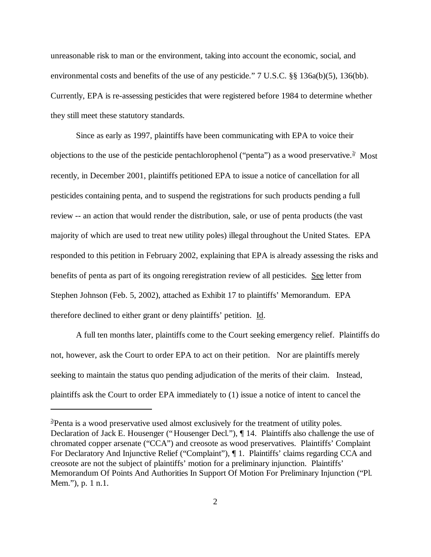unreasonable risk to man or the environment, taking into account the economic, social, and environmental costs and benefits of the use of any pesticide." 7 U.S.C. §§ 136a(b)(5), 136(bb). Currently, EPA is re-assessing pesticides that were registered before 1984 to determine whether they still meet these statutory standards.

Since as early as 1997, plaintiffs have been communicating with EPA to voice their objections to the use of the pesticide pentachlorophenol ("penta") as a wood preservative.<sup>2</sup> Most recently, in December 2001, plaintiffs petitioned EPA to issue a notice of cancellation for all pesticides containing penta, and to suspend the registrations for such products pending a full review -- an action that would render the distribution, sale, or use of penta products (the vast majority of which are used to treat new utility poles) illegal throughout the United States. EPA responded to this petition in February 2002, explaining that EPA is already assessing the risks and benefits of penta as part of its ongoing reregistration review of all pesticides. See letter from Stephen Johnson (Feb. 5, 2002), attached as Exhibit 17 to plaintiffs' Memorandum. EPA therefore declined to either grant or deny plaintiffs' petition. Id.

A full ten months later, plaintiffs come to the Court seeking emergency relief. Plaintiffs do not, however, ask the Court to order EPA to act on their petition. Nor are plaintiffs merely seeking to maintain the status quo pending adjudication of the merits of their claim. Instead, plaintiffs ask the Court to order EPA immediately to (1) issue a notice of intent to cancel the

<sup>&</sup>lt;sup>2</sup>Penta is a wood preservative used almost exclusively for the treatment of utility poles. Declaration of Jack E. Housenger ("Housenger Decl."), ¶ 14. Plaintiffs also challenge the use of chromated copper arsenate ("CCA") and creosote as wood preservatives. Plaintiffs' Complaint For Declaratory And Injunctive Relief ("Complaint"), ¶ 1. Plaintiffs' claims regarding CCA and creosote are not the subject of plaintiffs' motion for a preliminary injunction. Plaintiffs' Memorandum Of Points And Authorities In Support Of Motion For Preliminary Injunction ("Pl. Mem."), p. 1 n.1.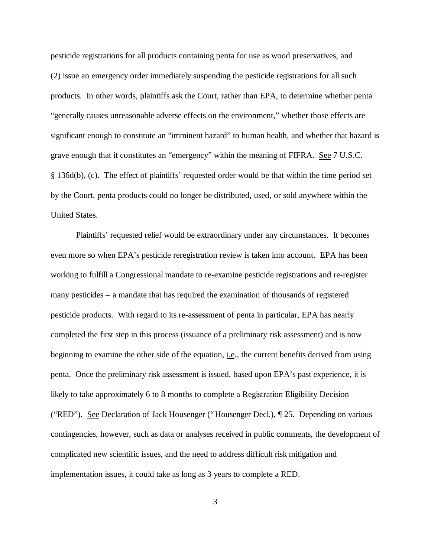pesticide registrations for all products containing penta for use as wood preservatives, and (2) issue an emergency order immediately suspending the pesticide registrations for all such products. In other words, plaintiffs ask the Court, rather than EPA, to determine whether penta "generally causes unreasonable adverse effects on the environment," whether those effects are significant enough to constitute an "imminent hazard" to human health, and whether that hazard is grave enough that it constitutes an "emergency" within the meaning of FIFRA. See 7 U.S.C. § 136d(b), (c). The effect of plaintiffs' requested order would be that within the time period set by the Court, penta products could no longer be distributed, used, or sold anywhere within the United States.

Plaintiffs' requested relief would be extraordinary under any circumstances. It becomes even more so when EPA's pesticide reregistration review is taken into account. EPA has been working to fulfill a Congressional mandate to re-examine pesticide registrations and re-register many pesticides – a mandate that has required the examination of thousands of registered pesticide products. With regard to its re-assessment of penta in particular, EPA has nearly completed the first step in this process (issuance of a preliminary risk assessment) and is now beginning to examine the other side of the equation, i.e., the current benefits derived from using penta. Once the preliminary risk assessment is issued, based upon EPA's past experience, it is likely to take approximately 6 to 8 months to complete a Registration Eligibility Decision ("RED"). See Declaration of Jack Housenger ("Housenger Decl.), ¶ 25. Depending on various contingencies, however, such as data or analyses received in public comments, the development of complicated new scientific issues, and the need to address difficult risk mitigation and implementation issues, it could take as long as 3 years to complete a RED.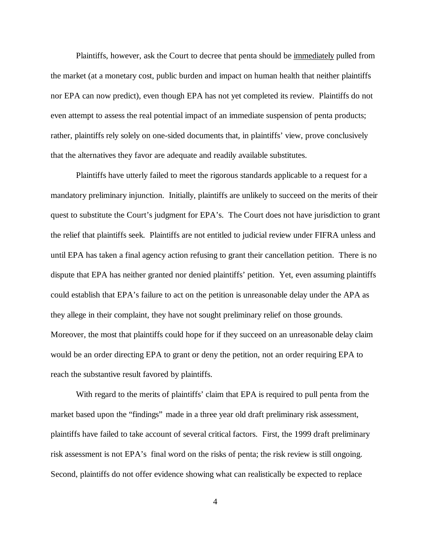Plaintiffs, however, ask the Court to decree that penta should be immediately pulled from the market (at a monetary cost, public burden and impact on human health that neither plaintiffs nor EPA can now predict), even though EPA has not yet completed its review. Plaintiffs do not even attempt to assess the real potential impact of an immediate suspension of penta products; rather, plaintiffs rely solely on one-sided documents that, in plaintiffs' view, prove conclusively that the alternatives they favor are adequate and readily available substitutes.

Plaintiffs have utterly failed to meet the rigorous standards applicable to a request for a mandatory preliminary injunction. Initially, plaintiffs are unlikely to succeed on the merits of their quest to substitute the Court's judgment for EPA's. The Court does not have jurisdiction to grant the relief that plaintiffs seek. Plaintiffs are not entitled to judicial review under FIFRA unless and until EPA has taken a final agency action refusing to grant their cancellation petition. There is no dispute that EPA has neither granted nor denied plaintiffs' petition. Yet, even assuming plaintiffs could establish that EPA's failure to act on the petition is unreasonable delay under the APA as they allege in their complaint, they have not sought preliminary relief on those grounds. Moreover, the most that plaintiffs could hope for if they succeed on an unreasonable delay claim would be an order directing EPA to grant or deny the petition, not an order requiring EPA to reach the substantive result favored by plaintiffs.

With regard to the merits of plaintiffs' claim that EPA is required to pull penta from the market based upon the "findings" made in a three year old draft preliminary risk assessment, plaintiffs have failed to take account of several critical factors. First, the 1999 draft preliminary risk assessment is not EPA's final word on the risks of penta; the risk review is still ongoing. Second, plaintiffs do not offer evidence showing what can realistically be expected to replace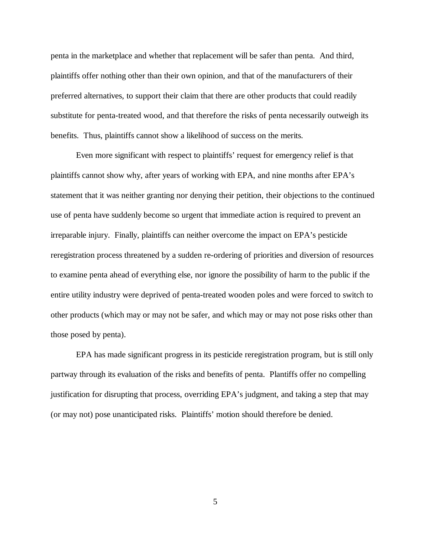penta in the marketplace and whether that replacement will be safer than penta. And third, plaintiffs offer nothing other than their own opinion, and that of the manufacturers of their preferred alternatives, to support their claim that there are other products that could readily substitute for penta-treated wood, and that therefore the risks of penta necessarily outweigh its benefits. Thus, plaintiffs cannot show a likelihood of success on the merits.

Even more significant with respect to plaintiffs' request for emergency relief is that plaintiffs cannot show why, after years of working with EPA, and nine months after EPA's statement that it was neither granting nor denying their petition, their objections to the continued use of penta have suddenly become so urgent that immediate action is required to prevent an irreparable injury. Finally, plaintiffs can neither overcome the impact on EPA's pesticide reregistration process threatened by a sudden re-ordering of priorities and diversion of resources to examine penta ahead of everything else, nor ignore the possibility of harm to the public if the entire utility industry were deprived of penta-treated wooden poles and were forced to switch to other products (which may or may not be safer, and which may or may not pose risks other than those posed by penta).

EPA has made significant progress in its pesticide reregistration program, but is still only partway through its evaluation of the risks and benefits of penta. Plantiffs offer no compelling justification for disrupting that process, overriding EPA's judgment, and taking a step that may (or may not) pose unanticipated risks. Plaintiffs' motion should therefore be denied.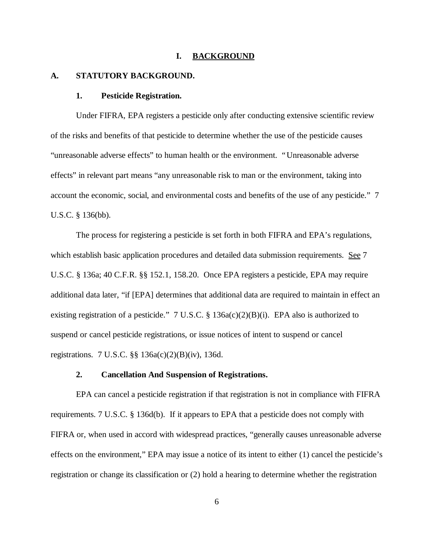#### **I. BACKGROUND**

#### **A. STATUTORY BACKGROUND.**

#### **1. Pesticide Registration.**

Under FIFRA, EPA registers a pesticide only after conducting extensive scientific review of the risks and benefits of that pesticide to determine whether the use of the pesticide causes "unreasonable adverse effects" to human health or the environment. "Unreasonable adverse effects" in relevant part means "any unreasonable risk to man or the environment, taking into account the economic, social, and environmental costs and benefits of the use of any pesticide." 7 U.S.C. § 136(bb).

The process for registering a pesticide is set forth in both FIFRA and EPA's regulations, which establish basic application procedures and detailed data submission requirements. See 7 U.S.C. § 136a; 40 C.F.R. §§ 152.1, 158.20. Once EPA registers a pesticide, EPA may require additional data later, "if [EPA] determines that additional data are required to maintain in effect an existing registration of a pesticide." 7 U.S.C. § 136a(c)(2)(B)(i). EPA also is authorized to suspend or cancel pesticide registrations, or issue notices of intent to suspend or cancel registrations. 7 U.S.C. §§ 136a(c)(2)(B)(iv), 136d.

#### **2. Cancellation And Suspension of Registrations.**

EPA can cancel a pesticide registration if that registration is not in compliance with FIFRA requirements. 7 U.S.C. § 136d(b).If it appears to EPA that a pesticide does not comply with FIFRA or, when used in accord with widespread practices, "generally causes unreasonable adverse effects on the environment," EPA may issue a notice of its intent to either (1) cancel the pesticide's registration or change its classification or (2) hold a hearing to determine whether the registration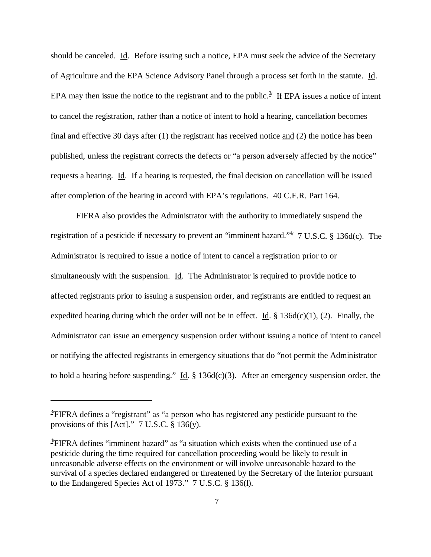should be canceled. Id. Before issuing such a notice, EPA must seek the advice of the Secretary of Agriculture and the EPA Science Advisory Panel through a process set forth in the statute. Id. EPA may then issue the notice to the registrant and to the public.<sup>3/</sup> If EPA issues a notice of intent to cancel the registration, rather than a notice of intent to hold a hearing, cancellation becomes final and effective 30 days after (1) the registrant has received notice and (2) the notice has been published, unless the registrant corrects the defects or "a person adversely affected by the notice" requests a hearing. Id. If a hearing is requested, the final decision on cancellation will be issued after completion of the hearing in accord with EPA's regulations. 40 C.F.R. Part 164.

FIFRA also provides the Administrator with the authority to immediately suspend the registration of a pesticide if necessary to prevent an "imminent hazard."<sup>4</sup> 7 U.S.C. § 136d(c). The Administrator is required to issue a notice of intent to cancel a registration prior to or simultaneously with the suspension. Id. The Administrator is required to provide notice to affected registrants prior to issuing a suspension order, and registrants are entitled to request an expedited hearing during which the order will not be in effect. Id.  $\S$  136d(c)(1), (2). Finally, the Administrator can issue an emergency suspension order without issuing a notice of intent to cancel or notifying the affected registrants in emergency situations that do "not permit the Administrator to hold a hearing before suspending." Id.  $\S$  136d(c)(3). After an emergency suspension order, the

<sup>&</sup>lt;sup>3/</sup>FIFRA defines a "registrant" as "a person who has registered any pesticide pursuant to the provisions of this [Act]." 7 U.S.C. § 136(y).

<sup>4</sup>**/**FIFRA defines "imminent hazard" as "a situation which exists when the continued use of a pesticide during the time required for cancellation proceeding would be likely to result in unreasonable adverse effects on the environment or will involve unreasonable hazard to the survival of a species declared endangered or threatened by the Secretary of the Interior pursuant to the Endangered Species Act of 1973." 7 U.S.C. § 136(l).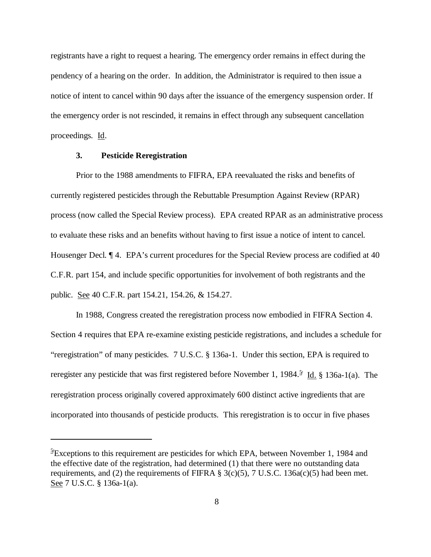registrants have a right to request a hearing. The emergency order remains in effect during the pendency of a hearing on the order. In addition, the Administrator is required to then issue a notice of intent to cancel within 90 days after the issuance of the emergency suspension order. If the emergency order is not rescinded, it remains in effect through any subsequent cancellation proceedings. Id.

## **3. Pesticide Reregistration**

Prior to the 1988 amendments to FIFRA, EPA reevaluated the risks and benefits of currently registered pesticides through the Rebuttable Presumption Against Review (RPAR) process (now called the Special Review process). EPA created RPAR as an administrative process to evaluate these risks and an benefits without having to first issue a notice of intent to cancel. Housenger Decl.  $\P$  4. EPA's current procedures for the Special Review process are codified at 40 C.F.R. part 154, and include specific opportunities for involvement of both registrants and the public. See 40 C.F.R. part 154.21, 154.26, & 154.27.

In 1988, Congress created the reregistration process now embodied in FIFRA Section 4. Section 4 requires that EPA re-examine existing pesticide registrations, and includes a schedule for "reregistration" of many pesticides. 7 U.S.C. § 136a-1. Under this section, EPA is required to reregister any pesticide that was first registered before November 1, 1984.<sup>5</sup>/ Id. § 136a-1(a). The reregistration process originally covered approximately 600 distinct active ingredients that are incorporated into thousands of pesticide products. This reregistration is to occur in five phases

<sup>&</sup>lt;sup>5</sup>/Exceptions to this requirement are pesticides for which EPA, between November 1, 1984 and the effective date of the registration, had determined (1) that there were no outstanding data requirements, and (2) the requirements of FIFRA  $\S$  3(c)(5), 7 U.S.C. 136a(c)(5) had been met. See 7 U.S.C. § 136a-1(a).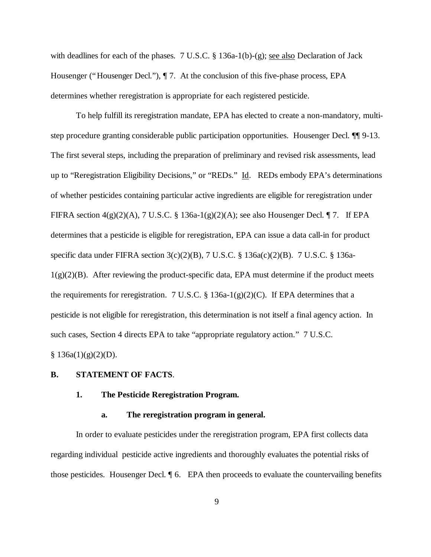with deadlines for each of the phases. 7 U.S.C. § 136a-1(b)-(g); <u>see also</u> Declaration of Jack Housenger ("Housenger Decl."), ¶ 7. At the conclusion of this five-phase process, EPA determines whether reregistration is appropriate for each registered pesticide.

To help fulfill its reregistration mandate, EPA has elected to create a non-mandatory, multistep procedure granting considerable public participation opportunities. Housenger Decl. ¶¶ 9-13. The first several steps, including the preparation of preliminary and revised risk assessments, lead up to "Reregistration Eligibility Decisions," or "REDs." Id. REDs embody EPA's determinations of whether pesticides containing particular active ingredients are eligible for reregistration under FIFRA section  $4(g)(2)(A)$ , 7 U.S.C. § 136a-1(g)(2)(A); see also Housenger Decl. ¶ 7. If EPA determines that a pesticide is eligible for reregistration, EPA can issue a data call-in for product specific data under FIFRA section 3(c)(2)(B), 7 U.S.C. § 136a(c)(2)(B). 7 U.S.C. § 136a- $1(g)(2)(B)$ . After reviewing the product-specific data, EPA must determine if the product meets the requirements for reregistration. 7 U.S.C. § 136a-1(g)(2)(C). If EPA determines that a pesticide is not eligible for reregistration, this determination is not itself a final agency action. In such cases, Section 4 directs EPA to take "appropriate regulatory action." 7 U.S.C.  $§ 136a(1)(g)(2)(D).$ 

#### **B. STATEMENT OF FACTS**.

### **1. The Pesticide Reregistration Program.**

#### **a. The reregistration program in general.**

In order to evaluate pesticides under the reregistration program, EPA first collects data regarding individual pesticide active ingredients and thoroughly evaluates the potential risks of those pesticides. Housenger Decl. ¶ 6. EPA then proceeds to evaluate the countervailing benefits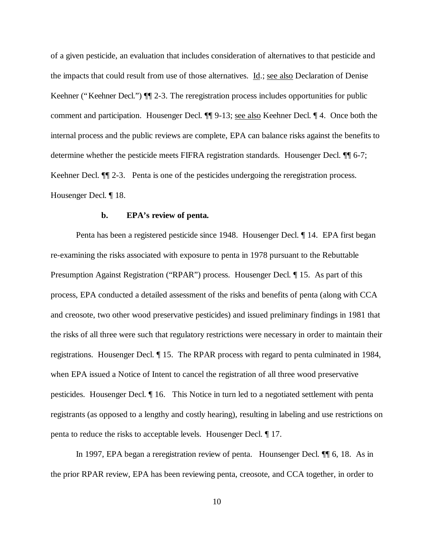of a given pesticide, an evaluation that includes consideration of alternatives to that pesticide and the impacts that could result from use of those alternatives. Id.; see also Declaration of Denise Keehner ("Keehner Decl.") ¶¶ 2-3. The reregistration process includes opportunities for public comment and participation. Housenger Decl. ¶¶ 9-13; see also Keehner Decl. ¶ 4. Once both the internal process and the public reviews are complete, EPA can balance risks against the benefits to determine whether the pesticide meets FIFRA registration standards. Housenger Decl.  $\P\P$  6-7; Keehner Decl.  $\P$  2-3. Penta is one of the pesticides undergoing the reregistration process. Housenger Decl. ¶ 18.

#### **b. EPA's review of penta.**

Penta has been a registered pesticide since 1948. Housenger Decl. ¶ 14. EPA first began re-examining the risks associated with exposure to penta in 1978 pursuant to the Rebuttable Presumption Against Registration ("RPAR") process. Housenger Decl.  $\P$  15. As part of this process, EPA conducted a detailed assessment of the risks and benefits of penta (along with CCA and creosote, two other wood preservative pesticides) and issued preliminary findings in 1981 that the risks of all three were such that regulatory restrictions were necessary in order to maintain their registrations. Housenger Decl. ¶ 15. The RPAR process with regard to penta culminated in 1984, when EPA issued a Notice of Intent to cancel the registration of all three wood preservative pesticides. Housenger Decl. ¶ 16. This Notice in turn led to a negotiated settlement with penta registrants (as opposed to a lengthy and costly hearing), resulting in labeling and use restrictions on penta to reduce the risks to acceptable levels. Housenger Decl. ¶ 17.

In 1997, EPA began a reregistration review of penta. Hounsenger Decl. ¶¶ 6, 18. As in the prior RPAR review, EPA has been reviewing penta, creosote, and CCA together, in order to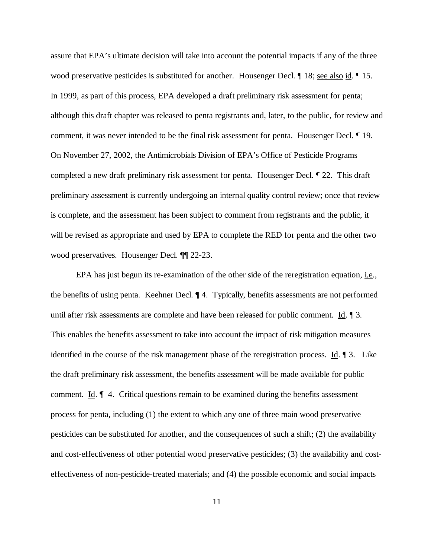assure that EPA's ultimate decision will take into account the potential impacts if any of the three wood preservative pesticides is substituted for another. Housenger Decl. ¶ 18; see also id. ¶ 15. In 1999, as part of this process, EPA developed a draft preliminary risk assessment for penta; although this draft chapter was released to penta registrants and, later, to the public, for review and comment, it was never intended to be the final risk assessment for penta. Housenger Decl. ¶ 19. On November 27, 2002, the Antimicrobials Division of EPA's Office of Pesticide Programs completed a new draft preliminary risk assessment for penta. Housenger Decl. ¶ 22. This draft preliminary assessment is currently undergoing an internal quality control review; once that review is complete, and the assessment has been subject to comment from registrants and the public, it will be revised as appropriate and used by EPA to complete the RED for penta and the other two wood preservatives. Housenger Decl. ¶¶ 22-23.

EPA has just begun its re-examination of the other side of the reregistration equation, i.e., the benefits of using penta. Keehner Decl. ¶ 4. Typically, benefits assessments are not performed until after risk assessments are complete and have been released for public comment. Id. ¶ 3. This enables the benefits assessment to take into account the impact of risk mitigation measures identified in the course of the risk management phase of the reregistration process. Id. ¶ 3. Like the draft preliminary risk assessment, the benefits assessment will be made available for public comment. Id.  $\parallel$  4. Critical questions remain to be examined during the benefits assessment process for penta, including (1) the extent to which any one of three main wood preservative pesticides can be substituted for another, and the consequences of such a shift; (2) the availability and cost-effectiveness of other potential wood preservative pesticides; (3) the availability and costeffectiveness of non-pesticide-treated materials; and (4) the possible economic and social impacts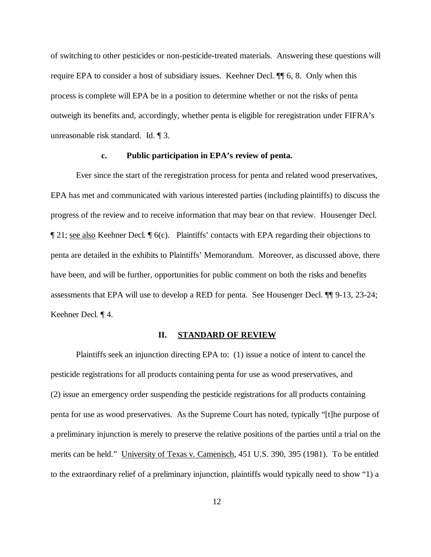of switching to other pesticides or non-pesticide-treated materials. Answering these questions will require EPA to consider a host of subsidiary issues. Keehner Decl. ¶¶ 6, 8. Only when this process is complete will EPA be in a position to determine whether or not the risks of penta outweigh its benefits and, accordingly, whether penta is eligible for reregistration under FIFRA's unreasonable risk standard. Id. ¶ 3.

#### **c. Public participation in EPA's review of penta.**

Ever since the start of the reregistration process for penta and related wood preservatives, EPA has met and communicated with various interested parties (including plaintiffs) to discuss the progress of the review and to receive information that may bear on that review. Housenger Decl. ¶ 21; see also Keehner Decl. ¶ 6(c). Plaintiffs' contacts with EPA regarding their objections to penta are detailed in the exhibits to Plaintiffs' Memorandum. Moreover, as discussed above, there have been, and will be further, opportunities for public comment on both the risks and benefits assessments that EPA will use to develop a RED for penta. See Housenger Decl. ¶¶ 9-13, 23-24; Keehner Decl. ¶ 4.

### **II. STANDARD OF REVIEW**

Plaintiffs seek an injunction directing EPA to: (1) issue a notice of intent to cancel the pesticide registrations for all products containing penta for use as wood preservatives, and (2) issue an emergency order suspending the pesticide registrations for all products containing penta for use as wood preservatives. As the Supreme Court has noted, typically "[t]he purpose of a preliminary injunction is merely to preserve the relative positions of the parties until a trial on the merits can be held." University of Texas v. Camenisch, 451 U.S. 390, 395 (1981). To be entitled to the extraordinary relief of a preliminary injunction, plaintiffs would typically need to show "1) a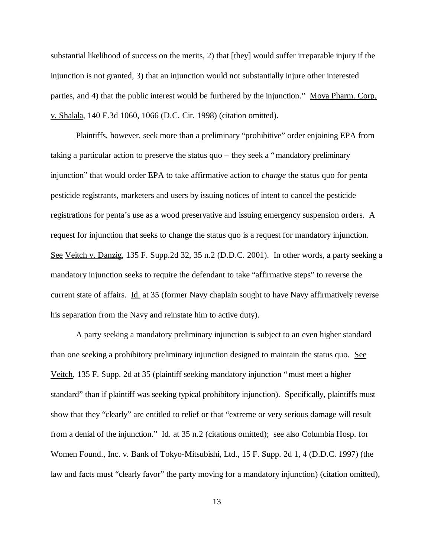substantial likelihood of success on the merits, 2) that [they] would suffer irreparable injury if the injunction is not granted, 3) that an injunction would not substantially injure other interested parties, and 4) that the public interest would be furthered by the injunction." Mova Pharm. Corp. v. Shalala, 140 F.3d 1060, 1066 (D.C. Cir. 1998) (citation omitted).

Plaintiffs, however, seek more than a preliminary "prohibitive" order enjoining EPA from taking a particular action to preserve the status quo – they seek a "mandatory preliminary injunction" that would order EPA to take affirmative action to *change* the status quo for penta pesticide registrants, marketers and users by issuing notices of intent to cancel the pesticide registrations for penta's use as a wood preservative and issuing emergency suspension orders. A request for injunction that seeks to change the status quo is a request for mandatory injunction. See Veitch v. Danzig, 135 F. Supp.2d 32, 35 n.2 (D.D.C. 2001). In other words, a party seeking a mandatory injunction seeks to require the defendant to take "affirmative steps" to reverse the current state of affairs. Id. at 35 (former Navy chaplain sought to have Navy affirmatively reverse his separation from the Navy and reinstate him to active duty).

A party seeking a mandatory preliminary injunction is subject to an even higher standard than one seeking a prohibitory preliminary injunction designed to maintain the status quo. See Veitch, 135 F. Supp. 2d at 35 (plaintiff seeking mandatory injunction "must meet a higher standard" than if plaintiff was seeking typical prohibitory injunction). Specifically, plaintiffs must show that they "clearly" are entitled to relief or that "extreme or very serious damage will result from a denial of the injunction." Id. at 35 n.2 (citations omitted); see also Columbia Hosp. for Women Found., Inc. v. Bank of Tokyo-Mitsubishi, Ltd., 15 F. Supp. 2d 1, 4 (D.D.C. 1997) (the law and facts must "clearly favor" the party moving for a mandatory injunction) (citation omitted),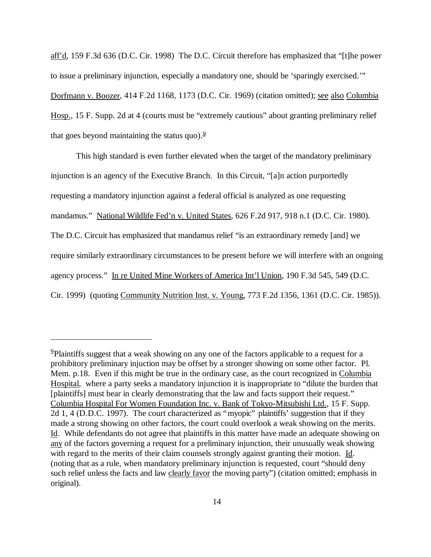aff'd, 159 F.3d 636 (D.C. Cir. 1998) The D.C. Circuit therefore has emphasized that "[t]he power to issue a preliminary injunction, especially a mandatory one, should be 'sparingly exercised.'" Dorfmann v. Boozer, 414 F.2d 1168, 1173 (D.C. Cir. 1969) (citation omitted); see also Columbia Hosp., 15 F. Supp. 2d at 4 (courts must be "extremely cautious" about granting preliminary relief that goes beyond maintaining the status quo). $\frac{6}{7}$ 

This high standard is even further elevated when the target of the mandatory preliminary injunction is an agency of the Executive Branch. In this Circuit, "[a]n action purportedly requesting a mandatory injunction against a federal official is analyzed as one requesting mandamus." National Wildlife Fed'n v. United States, 626 F.2d 917, 918 n.1 (D.C. Cir. 1980). The D.C. Circuit has emphasized that mandamus relief "is an extraordinary remedy [and] we require similarly extraordinary circumstances to be present before we will interfere with an ongoing agency process." In re United Mine Workers of America Int'l Union, 190 F.3d 545, 549 (D.C. Cir. 1999) (quoting Community Nutrition Inst. v. Young, 773 F.2d 1356, 1361 (D.C. Cir. 1985)).

<sup>&</sup>lt;sup>6</sup>Plaintiffs suggest that a weak showing on any one of the factors applicable to a request for a prohibitory preliminary injuction may be offset by a stronger showing on some other factor. Pl. Mem. p.18. Even if this might be true in the ordinary case, as the court recognized in Columbia Hospital, where a party seeks a mandatory injunction it is inappropriate to "dilute the burden that [plaintiffs] must bear in clearly demonstrating that the law and facts support their request." Columbia Hospital For Women Foundation Inc. v. Bank of Tokyo-Mitsubishi Ltd., 15 F. Supp. 2d 1, 4 (D.D.C. 1997). The court characterized as "myopic" plaintiffs' suggestion that if they made a strong showing on other factors, the court could overlook a weak showing on the merits. Id. While defendants do not agree that plaintiffs in this matter have made an adequate showing on any of the factors governing a request for a preliminary injunction, their unusually weak showing with regard to the merits of their claim counsels strongly against granting their motion. Id. (noting that as a rule, when mandatory preliminary injunction is requested, court "should deny such relief unless the facts and law clearly favor the moving party") (citation omitted; emphasis in original).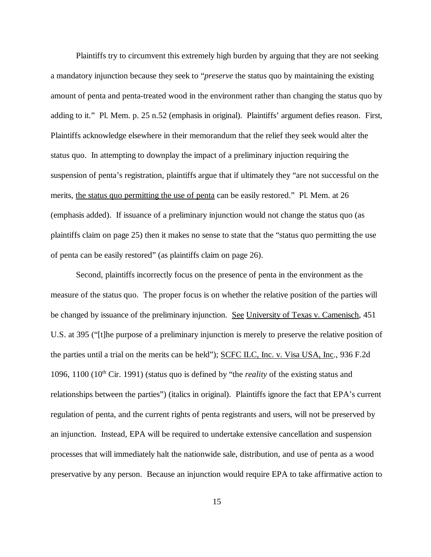Plaintiffs try to circumvent this extremely high burden by arguing that they are not seeking a mandatory injunction because they seek to "*preserve* the status quo by maintaining the existing amount of penta and penta-treated wood in the environment rather than changing the status quo by adding to it." Pl. Mem. p. 25 n.52 (emphasis in original). Plaintiffs' argument defies reason. First, Plaintiffs acknowledge elsewhere in their memorandum that the relief they seek would alter the status quo. In attempting to downplay the impact of a preliminary injuction requiring the suspension of penta's registration, plaintiffs argue that if ultimately they "are not successful on the merits, the status quo permitting the use of penta can be easily restored." Pl. Mem. at 26 (emphasis added). If issuance of a preliminary injunction would not change the status quo (as plaintiffs claim on page 25) then it makes no sense to state that the "status quo permitting the use of penta can be easily restored" (as plaintiffs claim on page 26).

Second, plaintiffs incorrectly focus on the presence of penta in the environment as the measure of the status quo. The proper focus is on whether the relative position of the parties will be changed by issuance of the preliminary injunction. See University of Texas v. Camenisch, 451 U.S. at 395 ("[t]he purpose of a preliminary injunction is merely to preserve the relative position of the parties until a trial on the merits can be held"); SCFC ILC, Inc. v. Visa USA, Inc., 936 F.2d 1096, 1100  $(10<sup>th</sup>$  Cir. 1991) (status quo is defined by "the *reality* of the existing status and relationships between the parties") (italics in original). Plaintiffs ignore the fact that EPA's current regulation of penta, and the current rights of penta registrants and users, will not be preserved by an injunction. Instead, EPA will be required to undertake extensive cancellation and suspension processes that will immediately halt the nationwide sale, distribution, and use of penta as a wood preservative by any person. Because an injunction would require EPA to take affirmative action to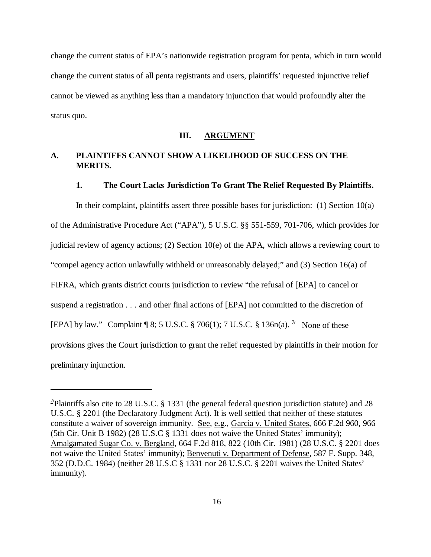change the current status of EPA's nationwide registration program for penta, which in turn would change the current status of all penta registrants and users, plaintiffs' requested injunctive relief cannot be viewed as anything less than a mandatory injunction that would profoundly alter the status quo.

## **III. ARGUMENT**

# **A. PLAINTIFFS CANNOT SHOW A LIKELIHOOD OF SUCCESS ON THE MERITS.**

### **1. The Court Lacks Jurisdiction To Grant The Relief Requested By Plaintiffs.**

In their complaint, plaintiffs assert three possible bases for jurisdiction:  $(1)$  Section 10 $(a)$ of the Administrative Procedure Act ("APA"), 5 U.S.C. §§ 551-559, 701-706, which provides for judicial review of agency actions; (2) Section 10(e) of the APA, which allows a reviewing court to "compel agency action unlawfully withheld or unreasonably delayed;" and (3) Section 16(a) of FIFRA, which grants district courts jurisdiction to review "the refusal of [EPA] to cancel or suspend a registration . . . and other final actions of [EPA] not committed to the discretion of [EPA] by law." Complaint | 8; 5 U.S.C. § 706(1); 7 U.S.C. § 136n(a). <sup>7</sup> None of these provisions gives the Court jurisdiction to grant the relief requested by plaintiffs in their motion for preliminary injunction.

<sup>&</sup>lt;sup>7</sup>/Plaintiffs also cite to 28 U.S.C. § 1331 (the general federal question jurisdiction statute) and 28 U.S.C. § 2201 (the Declaratory Judgment Act). It is well settled that neither of these statutes constitute a waiver of sovereign immunity. See, e.g., Garcia v. United States, 666 F.2d 960, 966 (5th Cir. Unit B 1982) (28 U.S.C § 1331 does not waive the United States' immunity); Amalgamated Sugar Co. v. Bergland, 664 F.2d 818, 822 (10th Cir. 1981) (28 U.S.C. § 2201 does not waive the United States' immunity); Benvenuti v. Department of Defense, 587 F. Supp. 348, 352 (D.D.C. 1984) (neither 28 U.S.C § 1331 nor 28 U.S.C. § 2201 waives the United States' immunity).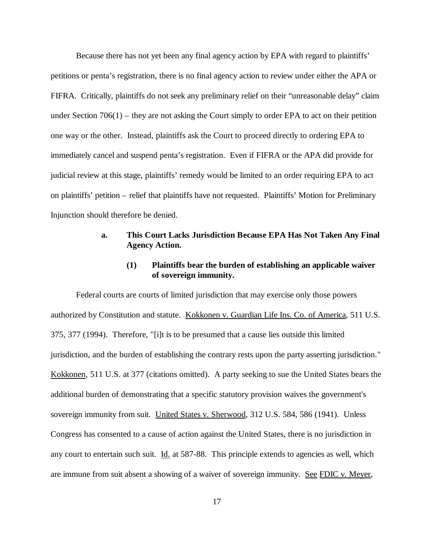Because there has not yet been any final agency action by EPA with regard to plaintiffs' petitions or penta's registration, there is no final agency action to review under either the APA or FIFRA. Critically, plaintiffs do not seek any preliminary relief on their "unreasonable delay" claim under Section  $706(1)$  – they are not asking the Court simply to order EPA to act on their petition one way or the other. Instead, plaintiffs ask the Court to proceed directly to ordering EPA to immediately cancel and suspend penta's registration. Even if FIFRA or the APA did provide for judicial review at this stage, plaintiffs' remedy would be limited to an order requiring EPA to act on plaintiffs' petition – relief that plaintiffs have not requested. Plaintiffs' Motion for Preliminary Injunction should therefore be denied.

## **a. This Court Lacks Jurisdiction Because EPA Has Not Taken Any Final Agency Action.**

## **(1) Plaintiffs bear the burden of establishing an applicable waiver of sovereign immunity.**

Federal courts are courts of limited jurisdiction that may exercise only those powers authorized by Constitution and statute. Kokkonen v. Guardian Life Ins. Co. of America, 511 U.S. 375, 377 (1994). Therefore, "[i]t is to be presumed that a cause lies outside this limited jurisdiction, and the burden of establishing the contrary rests upon the party asserting jurisdiction." Kokkonen, 511 U.S. at 377 (citations omitted). A party seeking to sue the United States bears the additional burden of demonstrating that a specific statutory provision waives the government's sovereign immunity from suit. United States v. Sherwood, 312 U.S. 584, 586 (1941). Unless Congress has consented to a cause of action against the United States, there is no jurisdiction in any court to entertain such suit. Id. at 587-88. This principle extends to agencies as well, which are immune from suit absent a showing of a waiver of sovereign immunity. See FDIC v. Meyer,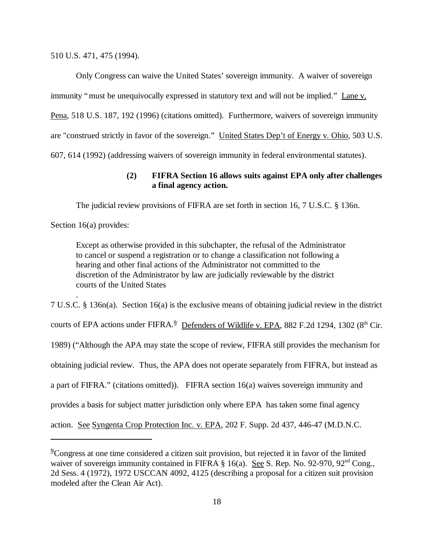510 U.S. 471, 475 (1994).

Only Congress can waive the United States' sovereign immunity. A waiver of sovereign immunity "must be unequivocally expressed in statutory text and will not be implied." Lane v. Pena, 518 U.S. 187, 192 (1996) (citations omitted). Furthermore, waivers of sovereign immunity are "construed strictly in favor of the sovereign." United States Dep't of Energy v. Ohio, 503 U.S. 607, 614 (1992) (addressing waivers of sovereign immunity in federal environmental statutes).

## **(2) FIFRA Section 16 allows suits against EPA only after challenges a final agency action.**

The judicial review provisions of FIFRA are set forth in section 16, 7 U.S.C. § 136n.

Section 16(a) provides:

.

Except as otherwise provided in this subchapter, the refusal of the Administrator to cancel or suspend a registration or to change a classification not following a hearing and other final actions of the Administrator not committed to the discretion of the Administrator by law are judicially reviewable by the district courts of the United States

7 U.S.C. § 136n(a). Section 16(a) is the exclusive means of obtaining judicial review in the district courts of EPA actions under FIFRA.<sup>§</sup> Defenders of Wildlife v. EPA, 882 F.2d 1294, 1302 (8<sup>th</sup> Cir. 1989) ("Although the APA may state the scope of review, FIFRA still provides the mechanism for obtaining judicial review. Thus, the APA does not operate separately from FIFRA, but instead as a part of FIFRA." (citations omitted)). FIFRA section 16(a) waives sovereign immunity and provides a basis for subject matter jurisdiction only where EPA has taken some final agency action. See Syngenta Crop Protection Inc. v. EPA, 202 F. Supp. 2d 437, 446-47 (M.D.N.C.

<sup>&</sup>lt;sup>8</sup>Congress at one time considered a citizen suit provision, but rejected it in favor of the limited waiver of sovereign immunity contained in FIFRA § 16(a). See S. Rep. No. 92-970, 92<sup>nd</sup> Cong., 2d Sess. 4 (1972), 1972 USCCAN 4092, 4125 (describing a proposal for a citizen suit provision modeled after the Clean Air Act).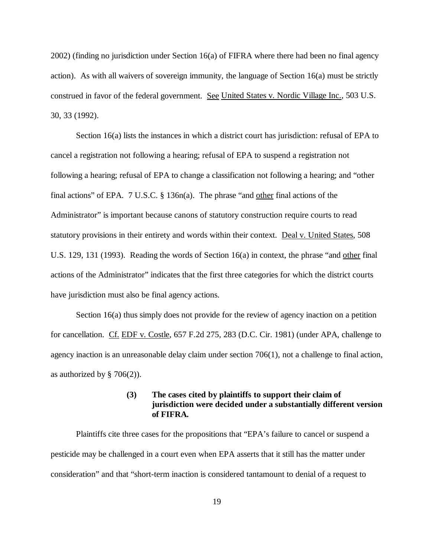2002) (finding no jurisdiction under Section 16(a) of FIFRA where there had been no final agency action). As with all waivers of sovereign immunity, the language of Section  $16(a)$  must be strictly construed in favor of the federal government. See United States v. Nordic Village Inc., 503 U.S. 30, 33 (1992).

Section 16(a) lists the instances in which a district court has jurisdiction: refusal of EPA to cancel a registration not following a hearing; refusal of EPA to suspend a registration not following a hearing; refusal of EPA to change a classification not following a hearing; and "other final actions" of EPA. 7 U.S.C. § 136n(a). The phrase "and other final actions of the Administrator" is important because canons of statutory construction require courts to read statutory provisions in their entirety and words within their context. Deal v. United States, 508 U.S. 129, 131 (1993). Reading the words of Section 16(a) in context, the phrase "and other final actions of the Administrator" indicates that the first three categories for which the district courts have jurisdiction must also be final agency actions.

Section 16(a) thus simply does not provide for the review of agency inaction on a petition for cancellation. Cf. EDF v. Costle, 657 F.2d 275, 283 (D.C. Cir. 1981) (under APA, challenge to agency inaction is an unreasonable delay claim under section  $706(1)$ , not a challenge to final action, as authorized by  $\S 706(2)$ ).

# **(3) The cases cited by plaintiffs to support their claim of jurisdiction were decided under a substantially different version of FIFRA.**

Plaintiffs cite three cases for the propositions that "EPA's failure to cancel or suspend a pesticide may be challenged in a court even when EPA asserts that it still has the matter under consideration" and that "short-term inaction is considered tantamount to denial of a request to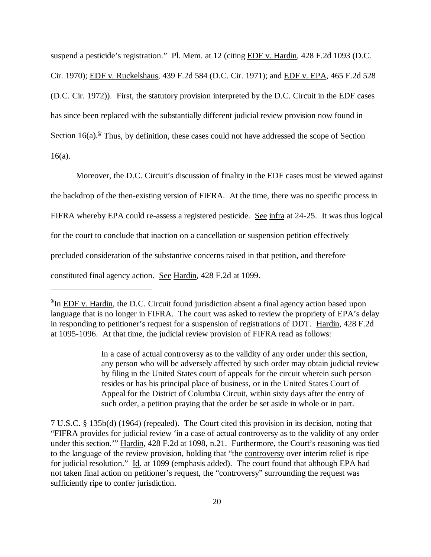suspend a pesticide's registration." Pl. Mem. at 12 (citing EDF v. Hardin, 428 F.2d 1093 (D.C.

Cir. 1970); EDF v. Ruckelshaus, 439 F.2d 584 (D.C. Cir. 1971); and EDF v. EPA, 465 F.2d 528

(D.C. Cir. 1972)). First, the statutory provision interpreted by the D.C. Circuit in the EDF cases

has since been replaced with the substantially different judicial review provision now found in

Section  $16(a)$ .<sup> $9$ </sup> Thus, by definition, these cases could not have addressed the scope of Section

16(a).

Moreover, the D.C. Circuit's discussion of finality in the EDF cases must be viewed against

the backdrop of the then-existing version of FIFRA. At the time, there was no specific process in

FIFRA whereby EPA could re-assess a registered pesticide. See infra at 24-25. It was thus logical

for the court to conclude that inaction on a cancellation or suspension petition effectively

precluded consideration of the substantive concerns raised in that petition, and therefore

constituted final agency action. See Hardin, 428 F.2d at 1099.

In a case of actual controversy as to the validity of any order under this section, any person who will be adversely affected by such order may obtain judicial review by filing in the United States court of appeals for the circuit wherein such person resides or has his principal place of business, or in the United States Court of Appeal for the District of Columbia Circuit, within sixty days after the entry of such order, a petition praying that the order be set aside in whole or in part.

7 U.S.C. § 135b(d) (1964) (repealed). The Court cited this provision in its decision, noting that "FIFRA provides for judicial review 'in a case of actual controversy as to the validity of any order under this section.'" Hardin, 428 F.2d at 1098, n.21. Furthermore, the Court's reasoning was tied to the language of the review provision, holding that "the controversy over interim relief is ripe for judicial resolution." Id. at 1099 (emphasis added). The court found that although EPA had not taken final action on petitioner's request, the "controversy" surrounding the request was sufficiently ripe to confer jurisdiction.

<sup>&</sup>lt;sup>9</sup>In EDF v. Hardin, the D.C. Circuit found jurisdiction absent a final agency action based upon language that is no longer in FIFRA. The court was asked to review the propriety of EPA's delay in responding to petitioner's request for a suspension of registrations of DDT. Hardin, 428 F.2d at 1095-1096. At that time, the judicial review provision of FIFRA read as follows: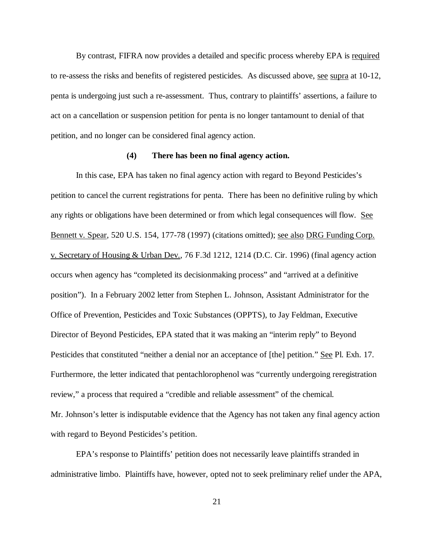By contrast, FIFRA now provides a detailed and specific process whereby EPA is required to re-assess the risks and benefits of registered pesticides. As discussed above, see supra at 10-12, penta is undergoing just such a re-assessment. Thus, contrary to plaintiffs' assertions, a failure to act on a cancellation or suspension petition for penta is no longer tantamount to denial of that petition, and no longer can be considered final agency action.

#### **(4) There has been no final agency action.**

In this case, EPA has taken no final agency action with regard to Beyond Pesticides's petition to cancel the current registrations for penta. There has been no definitive ruling by which any rights or obligations have been determined or from which legal consequences will flow. See Bennett v. Spear, 520 U.S. 154, 177-78 (1997) (citations omitted); see also DRG Funding Corp. v. Secretary of Housing & Urban Dev., 76 F.3d 1212, 1214 (D.C. Cir. 1996) (final agency action occurs when agency has "completed its decisionmaking process" and "arrived at a definitive position"). In a February 2002 letter from Stephen L. Johnson, Assistant Administrator for the Office of Prevention, Pesticides and Toxic Substances (OPPTS), to Jay Feldman, Executive Director of Beyond Pesticides, EPA stated that it was making an "interim reply" to Beyond Pesticides that constituted "neither a denial nor an acceptance of [the] petition." See Pl. Exh. 17. Furthermore, the letter indicated that pentachlorophenol was "currently undergoing reregistration review," a process that required a "credible and reliable assessment" of the chemical. Mr. Johnson's letter is indisputable evidence that the Agency has not taken any final agency action with regard to Beyond Pesticides's petition.

EPA's response to Plaintiffs' petition does not necessarily leave plaintiffs stranded in administrative limbo. Plaintiffs have, however, opted not to seek preliminary relief under the APA,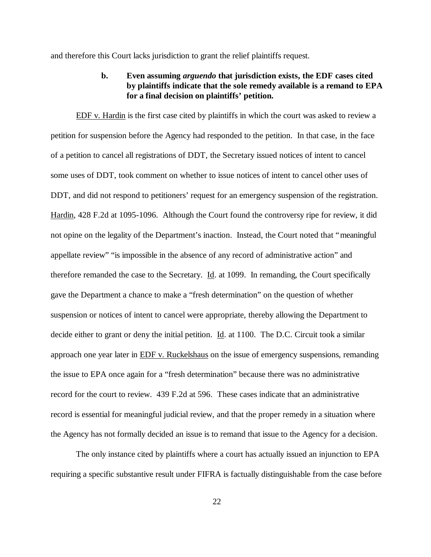and therefore this Court lacks jurisdiction to grant the relief plaintiffs request.

# **b. Even assuming** *arguendo* **that jurisdiction exists, the EDF cases cited by plaintiffs indicate that the sole remedy available is a remand to EPA for a final decision on plaintiffs' petition.**

EDF v. Hardin is the first case cited by plaintiffs in which the court was asked to review a petition for suspension before the Agency had responded to the petition. In that case, in the face of a petition to cancel all registrations of DDT, the Secretary issued notices of intent to cancel some uses of DDT, took comment on whether to issue notices of intent to cancel other uses of DDT, and did not respond to petitioners' request for an emergency suspension of the registration. Hardin, 428 F.2d at 1095-1096. Although the Court found the controversy ripe for review, it did not opine on the legality of the Department's inaction. Instead, the Court noted that "meaningful appellate review" "is impossible in the absence of any record of administrative action" and therefore remanded the case to the Secretary. Id. at 1099. In remanding, the Court specifically gave the Department a chance to make a "fresh determination" on the question of whether suspension or notices of intent to cancel were appropriate, thereby allowing the Department to decide either to grant or deny the initial petition. Id. at 1100. The D.C. Circuit took a similar approach one year later in EDF v. Ruckelshaus on the issue of emergency suspensions, remanding the issue to EPA once again for a "fresh determination" because there was no administrative record for the court to review. 439 F.2d at 596. These cases indicate that an administrative record is essential for meaningful judicial review, and that the proper remedy in a situation where the Agency has not formally decided an issue is to remand that issue to the Agency for a decision.

The only instance cited by plaintiffs where a court has actually issued an injunction to EPA requiring a specific substantive result under FIFRA is factually distinguishable from the case before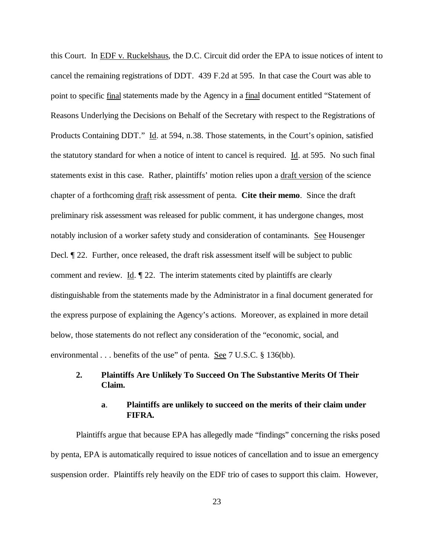this Court. In EDF v. Ruckelshaus, the D.C. Circuit did order the EPA to issue notices of intent to cancel the remaining registrations of DDT. 439 F.2d at 595. In that case the Court was able to point to specific final statements made by the Agency in a final document entitled "Statement of Reasons Underlying the Decisions on Behalf of the Secretary with respect to the Registrations of Products Containing DDT." Id. at 594, n.38. Those statements, in the Court's opinion, satisfied the statutory standard for when a notice of intent to cancel is required. Id. at 595. No such final statements exist in this case. Rather, plaintiffs' motion relies upon a draft version of the science chapter of a forthcoming draft risk assessment of penta. **Cite their memo**. Since the draft preliminary risk assessment was released for public comment, it has undergone changes, most notably inclusion of a worker safety study and consideration of contaminants. See Housenger Decl. ¶ 22. Further, once released, the draft risk assessment itself will be subject to public comment and review. Id.  $\parallel$  22. The interim statements cited by plaintiffs are clearly distinguishable from the statements made by the Administrator in a final document generated for the express purpose of explaining the Agency's actions. Moreover, as explained in more detail below, those statements do not reflect any consideration of the "economic, social, and environmental . . . benefits of the use" of penta. <u>See</u> 7 U.S.C. § 136(bb).

## **2. Plaintiffs Are Unlikely To Succeed On The Substantive Merits Of Their Claim.**

## **a**. **Plaintiffs are unlikely to succeed on the merits of their claim under FIFRA.**

Plaintiffs argue that because EPA has allegedly made "findings" concerning the risks posed by penta, EPA is automatically required to issue notices of cancellation and to issue an emergency suspension order. Plaintiffs rely heavily on the EDF trio of cases to support this claim. However,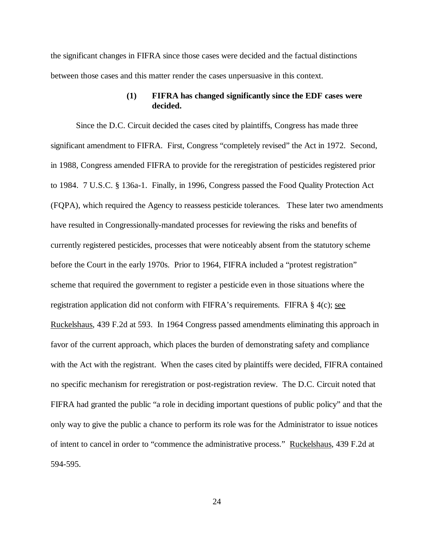the significant changes in FIFRA since those cases were decided and the factual distinctions between those cases and this matter render the cases unpersuasive in this context.

## **(1) FIFRA has changed significantly since the EDF cases were decided.**

Since the D.C. Circuit decided the cases cited by plaintiffs, Congress has made three significant amendment to FIFRA. First, Congress "completely revised" the Act in 1972. Second, in 1988, Congress amended FIFRA to provide for the reregistration of pesticides registered prior to 1984. 7 U.S.C. § 136a-1. Finally, in 1996, Congress passed the Food Quality Protection Act (FQPA), which required the Agency to reassess pesticide tolerances. These later two amendments have resulted in Congressionally-mandated processes for reviewing the risks and benefits of currently registered pesticides, processes that were noticeably absent from the statutory scheme before the Court in the early 1970s. Prior to 1964, FIFRA included a "protest registration" scheme that required the government to register a pesticide even in those situations where the registration application did not conform with FIFRA's requirements. FIFRA  $\S$  4(c); see Ruckelshaus, 439 F.2d at 593. In 1964 Congress passed amendments eliminating this approach in favor of the current approach, which places the burden of demonstrating safety and compliance with the Act with the registrant. When the cases cited by plaintiffs were decided, FIFRA contained no specific mechanism for reregistration or post-registration review. The D.C. Circuit noted that FIFRA had granted the public "a role in deciding important questions of public policy" and that the only way to give the public a chance to perform its role was for the Administrator to issue notices of intent to cancel in order to "commence the administrative process." Ruckelshaus, 439 F.2d at 594-595.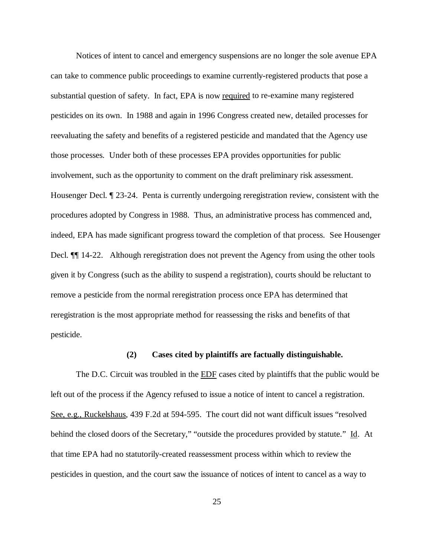Notices of intent to cancel and emergency suspensions are no longer the sole avenue EPA can take to commence public proceedings to examine currently-registered products that pose a substantial question of safety. In fact, EPA is now required to re-examine many registered pesticides on its own. In 1988 and again in 1996 Congress created new, detailed processes for reevaluating the safety and benefits of a registered pesticide and mandated that the Agency use those processes. Under both of these processes EPA provides opportunities for public involvement, such as the opportunity to comment on the draft preliminary risk assessment. Housenger Decl. ¶ 23-24. Penta is currently undergoing reregistration review, consistent with the procedures adopted by Congress in 1988. Thus, an administrative process has commenced and, indeed, EPA has made significant progress toward the completion of that process. See Housenger Decl.  $\P$  14-22. Although reregistration does not prevent the Agency from using the other tools given it by Congress (such as the ability to suspend a registration), courts should be reluctant to remove a pesticide from the normal reregistration process once EPA has determined that reregistration is the most appropriate method for reassessing the risks and benefits of that pesticide.

## **(2) Cases cited by plaintiffs are factually distinguishable.**

The D.C. Circuit was troubled in the EDF cases cited by plaintiffs that the public would be left out of the process if the Agency refused to issue a notice of intent to cancel a registration. See, e.g., Ruckelshaus, 439 F.2d at 594-595. The court did not want difficult issues "resolved behind the closed doors of the Secretary," "outside the procedures provided by statute." Id. At that time EPA had no statutorily-created reassessment process within which to review the pesticides in question, and the court saw the issuance of notices of intent to cancel as a way to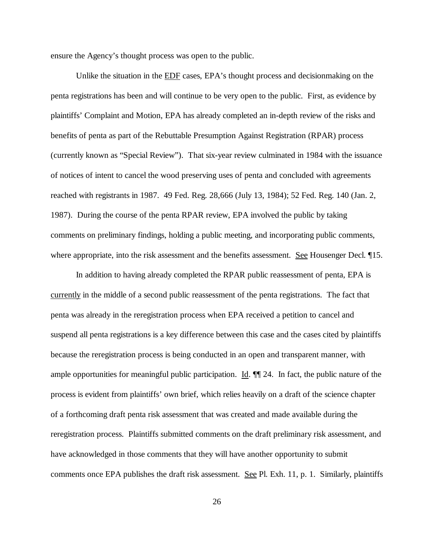ensure the Agency's thought process was open to the public.

Unlike the situation in the **EDF** cases, EPA's thought process and decisionmaking on the penta registrations has been and will continue to be very open to the public. First, as evidence by plaintiffs' Complaint and Motion, EPA has already completed an in-depth review of the risks and benefits of penta as part of the Rebuttable Presumption Against Registration (RPAR) process (currently known as "Special Review"). That six-year review culminated in 1984 with the issuance of notices of intent to cancel the wood preserving uses of penta and concluded with agreements reached with registrants in 1987. 49 Fed. Reg. 28,666 (July 13, 1984); 52 Fed. Reg. 140 (Jan. 2, 1987). During the course of the penta RPAR review, EPA involved the public by taking comments on preliminary findings, holding a public meeting, and incorporating public comments, where appropriate, into the risk assessment and the benefits assessment. See Housenger Decl. 15.

In addition to having already completed the RPAR public reassessment of penta, EPA is currently in the middle of a second public reassessment of the penta registrations. The fact that penta was already in the reregistration process when EPA received a petition to cancel and suspend all penta registrations is a key difference between this case and the cases cited by plaintiffs because the reregistration process is being conducted in an open and transparent manner, with ample opportunities for meaningful public participation. Id. ¶¶ 24. In fact, the public nature of the process is evident from plaintiffs' own brief, which relies heavily on a draft of the science chapter of a forthcoming draft penta risk assessment that was created and made available during the reregistration process. Plaintiffs submitted comments on the draft preliminary risk assessment, and have acknowledged in those comments that they will have another opportunity to submit comments once EPA publishes the draft risk assessment. See Pl. Exh. 11, p. 1. Similarly, plaintiffs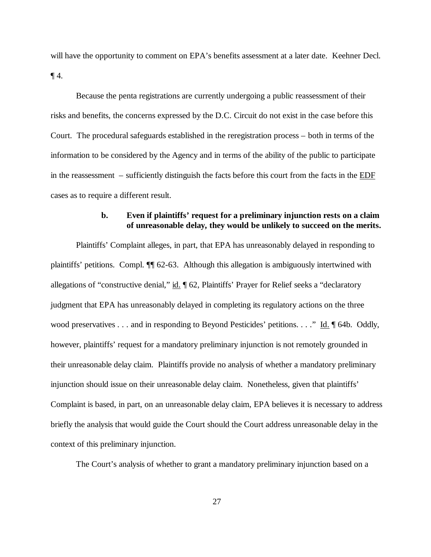will have the opportunity to comment on EPA's benefits assessment at a later date. Keehner Decl.  $\P$  4.

Because the penta registrations are currently undergoing a public reassessment of their risks and benefits, the concerns expressed by the D.C. Circuit do not exist in the case before this Court. The procedural safeguards established in the reregistration process – both in terms of the information to be considered by the Agency and in terms of the ability of the public to participate in the reassessment – sufficiently distinguish the facts before this court from the facts in the EDF cases as to require a different result.

## **b. Even if plaintiffs' request for a preliminary injunction rests on a claim of unreasonable delay, they would be unlikely to succeed on the merits.**

Plaintiffs' Complaint alleges, in part, that EPA has unreasonably delayed in responding to plaintiffs' petitions. Compl. ¶¶ 62-63. Although this allegation is ambiguously intertwined with allegations of "constructive denial," id. ¶ 62, Plaintiffs' Prayer for Relief seeks a "declaratory judgment that EPA has unreasonably delayed in completing its regulatory actions on the three wood preservatives . . . and in responding to Beyond Pesticides' petitions. . . ." Id. ¶ 64b. Oddly, however, plaintiffs' request for a mandatory preliminary injunction is not remotely grounded in their unreasonable delay claim. Plaintiffs provide no analysis of whether a mandatory preliminary injunction should issue on their unreasonable delay claim. Nonetheless, given that plaintiffs' Complaint is based, in part, on an unreasonable delay claim, EPA believes it is necessary to address briefly the analysis that would guide the Court should the Court address unreasonable delay in the context of this preliminary injunction.

The Court's analysis of whether to grant a mandatory preliminary injunction based on a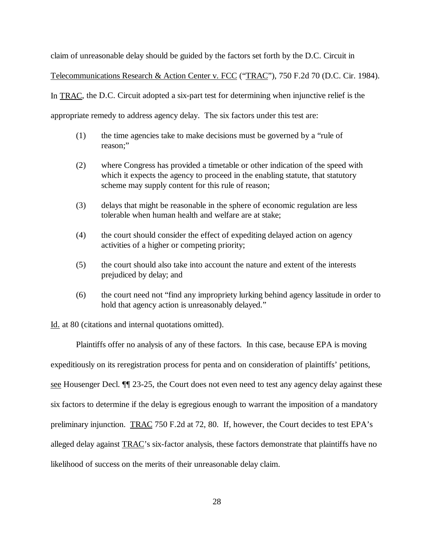claim of unreasonable delay should be guided by the factors set forth by the D.C. Circuit in

Telecommunications Research & Action Center v. FCC ("TRAC"), 750 F.2d 70 (D.C. Cir. 1984).

In TRAC, the D.C. Circuit adopted a six-part test for determining when injunctive relief is the

appropriate remedy to address agency delay. The six factors under this test are:

- (1) the time agencies take to make decisions must be governed by a "rule of reason;"
- (2) where Congress has provided a timetable or other indication of the speed with which it expects the agency to proceed in the enabling statute, that statutory scheme may supply content for this rule of reason;
- (3) delays that might be reasonable in the sphere of economic regulation are less tolerable when human health and welfare are at stake;
- (4) the court should consider the effect of expediting delayed action on agency activities of a higher or competing priority;
- (5) the court should also take into account the nature and extent of the interests prejudiced by delay; and
- (6) the court need not "find any impropriety lurking behind agency lassitude in order to hold that agency action is unreasonably delayed."

Id. at 80 (citations and internal quotations omitted).

Plaintiffs offer no analysis of any of these factors. In this case, because EPA is moving expeditiously on its reregistration process for penta and on consideration of plaintiffs' petitions, see Housenger Decl. ¶¶ 23-25, the Court does not even need to test any agency delay against these six factors to determine if the delay is egregious enough to warrant the imposition of a mandatory preliminary injunction. TRAC 750 F.2d at 72, 80. If, however, the Court decides to test EPA's alleged delay against TRAC's six-factor analysis, these factors demonstrate that plaintiffs have no likelihood of success on the merits of their unreasonable delay claim.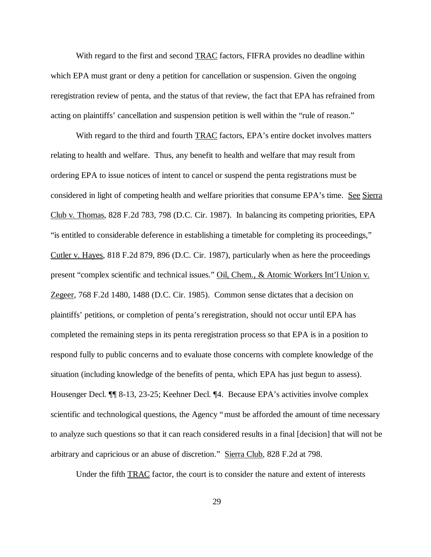With regard to the first and second **TRAC** factors, FIFRA provides no deadline within which EPA must grant or deny a petition for cancellation or suspension. Given the ongoing reregistration review of penta, and the status of that review, the fact that EPA has refrained from acting on plaintiffs' cancellation and suspension petition is well within the "rule of reason."

With regard to the third and fourth **TRAC** factors, EPA's entire docket involves matters relating to health and welfare. Thus, any benefit to health and welfare that may result from ordering EPA to issue notices of intent to cancel or suspend the penta registrations must be considered in light of competing health and welfare priorities that consume EPA's time. See Sierra Club v. Thomas, 828 F.2d 783, 798 (D.C. Cir. 1987). In balancing its competing priorities, EPA "is entitled to considerable deference in establishing a timetable for completing its proceedings," Cutler v. Hayes, 818 F.2d 879, 896 (D.C. Cir. 1987), particularly when as here the proceedings present "complex scientific and technical issues." Oil, Chem., & Atomic Workers Int'l Union v. Zegeer, 768 F.2d 1480, 1488 (D.C. Cir. 1985). Common sense dictates that a decision on plaintiffs' petitions, or completion of penta's reregistration, should not occur until EPA has completed the remaining steps in its penta reregistration process so that EPA is in a position to respond fully to public concerns and to evaluate those concerns with complete knowledge of the situation (including knowledge of the benefits of penta, which EPA has just begun to assess). Housenger Decl. ¶¶ 8-13, 23-25; Keehner Decl. ¶4. Because EPA's activities involve complex scientific and technological questions, the Agency "must be afforded the amount of time necessary to analyze such questions so that it can reach considered results in a final [decision] that will not be arbitrary and capricious or an abuse of discretion." Sierra Club, 828 F.2d at 798.

Under the fifth TRAC factor, the court is to consider the nature and extent of interests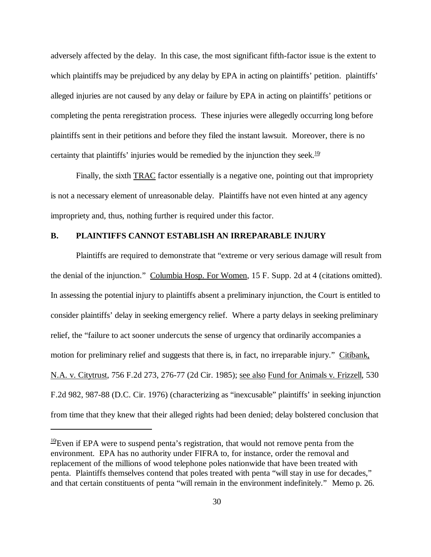adversely affected by the delay. In this case, the most significant fifth-factor issue is the extent to which plaintiffs may be prejudiced by any delay by EPA in acting on plaintiffs' petition. plaintiffs' alleged injuries are not caused by any delay or failure by EPA in acting on plaintiffs' petitions or completing the penta reregistration process. These injuries were allegedly occurring long before plaintiffs sent in their petitions and before they filed the instant lawsuit. Moreover, there is no certainty that plaintiffs' injuries would be remedied by the injunction they seek.<sup>10</sup>

Finally, the sixth TRAC factor essentially is a negative one, pointing out that impropriety is not a necessary element of unreasonable delay. Plaintiffs have not even hinted at any agency impropriety and, thus, nothing further is required under this factor.

### **B. PLAINTIFFS CANNOT ESTABLISH AN IRREPARABLE INJURY**

Plaintiffs are required to demonstrate that "extreme or very serious damage will result from the denial of the injunction." Columbia Hosp. For Women, 15 F. Supp. 2d at 4 (citations omitted). In assessing the potential injury to plaintiffs absent a preliminary injunction, the Court is entitled to consider plaintiffs' delay in seeking emergency relief. Where a party delays in seeking preliminary relief, the "failure to act sooner undercuts the sense of urgency that ordinarily accompanies a motion for preliminary relief and suggests that there is, in fact, no irreparable injury." Citibank, N.A. v. Citytrust, 756 F.2d 273, 276-77 (2d Cir. 1985); see also Fund for Animals v. Frizzell, 530 F.2d 982, 987-88 (D.C. Cir. 1976) (characterizing as "inexcusable" plaintiffs' in seeking injunction from time that they knew that their alleged rights had been denied; delay bolstered conclusion that

<sup>&</sup>lt;sup>10</sup>/Even if EPA were to suspend penta's registration, that would not remove penta from the environment. EPA has no authority under FIFRA to, for instance, order the removal and replacement of the millions of wood telephone poles nationwide that have been treated with penta. Plaintiffs themselves contend that poles treated with penta "will stay in use for decades," and that certain constituents of penta "will remain in the environment indefinitely." Memo p. 26.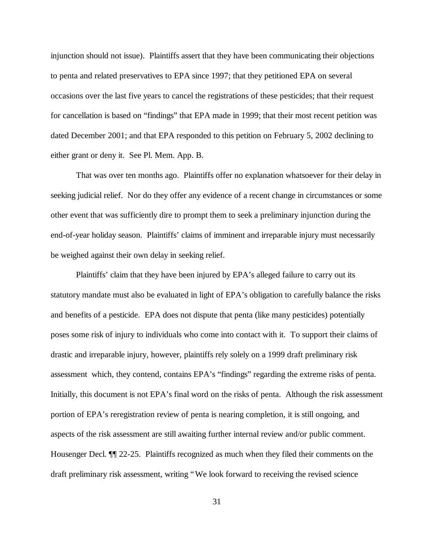injunction should not issue). Plaintiffs assert that they have been communicating their objections to penta and related preservatives to EPA since 1997; that they petitioned EPA on several occasions over the last five years to cancel the registrations of these pesticides; that their request for cancellation is based on "findings" that EPA made in 1999; that their most recent petition was dated December 2001; and that EPA responded to this petition on February 5, 2002 declining to either grant or deny it. See Pl. Mem. App. B.

That was over ten months ago. Plaintiffs offer no explanation whatsoever for their delay in seeking judicial relief. Nor do they offer any evidence of a recent change in circumstances or some other event that was sufficiently dire to prompt them to seek a preliminary injunction during the end-of-year holiday season. Plaintiffs' claims of imminent and irreparable injury must necessarily be weighed against their own delay in seeking relief.

Plaintiffs' claim that they have been injured by EPA's alleged failure to carry out its statutory mandate must also be evaluated in light of EPA's obligation to carefully balance the risks and benefits of a pesticide. EPA does not dispute that penta (like many pesticides) potentially poses some risk of injury to individuals who come into contact with it. To support their claims of drastic and irreparable injury, however, plaintiffs rely solely on a 1999 draft preliminary risk assessment which, they contend, contains EPA's "findings" regarding the extreme risks of penta. Initially, this document is not EPA's final word on the risks of penta. Although the risk assessment portion of EPA's reregistration review of penta is nearing completion, it is still ongoing, and aspects of the risk assessment are still awaiting further internal review and/or public comment. Housenger Decl. ¶¶ 22-25. Plaintiffs recognized as much when they filed their comments on the draft preliminary risk assessment, writing "We look forward to receiving the revised science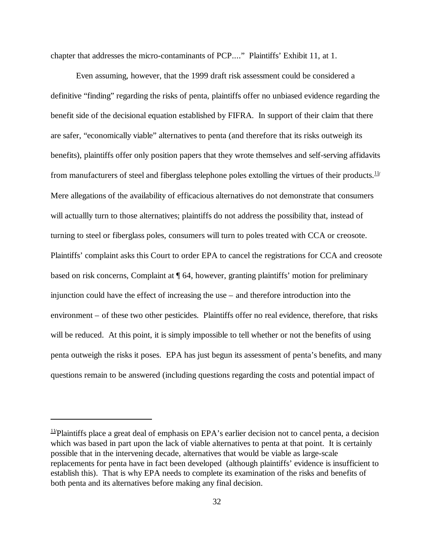chapter that addresses the micro-contaminants of PCP...." Plaintiffs' Exhibit 11, at 1.

Even assuming, however, that the 1999 draft risk assessment could be considered a definitive "finding" regarding the risks of penta, plaintiffs offer no unbiased evidence regarding the benefit side of the decisional equation established by FIFRA. In support of their claim that there are safer, "economically viable" alternatives to penta (and therefore that its risks outweigh its benefits), plaintiffs offer only position papers that they wrote themselves and self-serving affidavits from manufacturers of steel and fiberglass telephone poles extolling the virtues of their products.<sup>11/</sup> Mere allegations of the availability of efficacious alternatives do not demonstrate that consumers will actuallly turn to those alternatives; plaintiffs do not address the possibility that, instead of turning to steel or fiberglass poles, consumers will turn to poles treated with CCA or creosote. Plaintiffs' complaint asks this Court to order EPA to cancel the registrations for CCA and creosote based on risk concerns, Complaint at ¶ 64, however, granting plaintiffs' motion for preliminary injunction could have the effect of increasing the use – and therefore introduction into the environment – of these two other pesticides. Plaintiffs offer no real evidence, therefore, that risks will be reduced. At this point, it is simply impossible to tell whether or not the benefits of using penta outweigh the risks it poses. EPA has just begun its assessment of penta's benefits, and many questions remain to be answered (including questions regarding the costs and potential impact of

 $11/2$ Plaintiffs place a great deal of emphasis on EPA's earlier decision not to cancel penta, a decision which was based in part upon the lack of viable alternatives to penta at that point. It is certainly possible that in the intervening decade, alternatives that would be viable as large-scale replacements for penta have in fact been developed (although plaintiffs' evidence is insufficient to establish this). That is why EPA needs to complete its examination of the risks and benefits of both penta and its alternatives before making any final decision.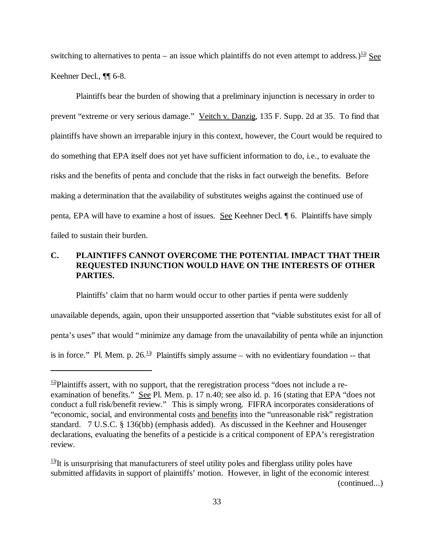switching to alternatives to penta – an issue which plaintiffs do not even attempt to address.)<sup>12</sup>/ See Keehner Decl., ¶¶ 6-8.

Plaintiffs bear the burden of showing that a preliminary injunction is necessary in order to prevent "extreme or very serious damage." Veitch v. Danzig, 135 F. Supp. 2d at 35. To find that plaintiffs have shown an irreparable injury in this context, however, the Court would be required to do something that EPA itself does not yet have sufficient information to do, i.e., to evaluate the risks and the benefits of penta and conclude that the risks in fact outweigh the benefits. Before making a determination that the availability of substitutes weighs against the continued use of penta, EPA will have to examine a host of issues. See Keehner Decl. ¶ 6. Plaintiffs have simply failed to sustain their burden.

# **C. PLAINTIFFS CANNOT OVERCOME THE POTENTIAL IMPACT THAT THEIR REQUESTED INJUNCTION WOULD HAVE ON THE INTERESTS OF OTHER PARTIES.**

Plaintiffs' claim that no harm would occur to other parties if penta were suddenly unavailable depends, again, upon their unsupported assertion that "viable substitutes exist for all of penta's uses" that would "minimize any damage from the unavailability of penta while an injunction is in force." Pl. Mem. p.  $26.\frac{13}{7}$  Plaintiffs simply assume – with no evidentiary foundation -- that

 $\frac{12}{2}$ Plaintiffs assert, with no support, that the reregistration process "does not include a reexamination of benefits." See Pl. Mem. p. 17 n.40; see also id. p. 16 (stating that EPA "does not conduct a full risk/benefit review." This is simply wrong. FIFRA incorporates considerations of "economic, social, and environmental costs and benefits into the "unreasonable risk" registration standard. 7 U.S.C. § 136(bb) (emphasis added). As discussed in the Keehner and Housenger declarations, evaluating the benefits of a pesticide is a critical component of EPA's reregistration review.

<sup>&</sup>lt;sup>13</sup>/It is unsurprising that manufacturers of steel utility poles and fiberglass utility poles have submitted affidavits in support of plaintiffs' motion. However, in light of the economic interest (continued...)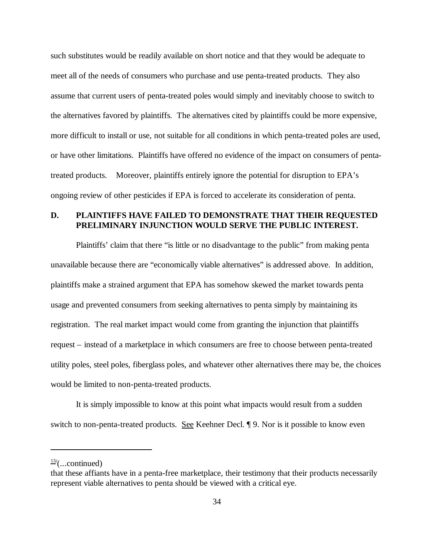such substitutes would be readily available on short notice and that they would be adequate to meet all of the needs of consumers who purchase and use penta-treated products. They also assume that current users of penta-treated poles would simply and inevitably choose to switch to the alternatives favored by plaintiffs. The alternatives cited by plaintiffs could be more expensive, more difficult to install or use, not suitable for all conditions in which penta-treated poles are used, or have other limitations. Plaintiffs have offered no evidence of the impact on consumers of pentatreated products. Moreover, plaintiffs entirely ignore the potential for disruption to EPA's ongoing review of other pesticides if EPA is forced to accelerate its consideration of penta.

## **D. PLAINTIFFS HAVE FAILED TO DEMONSTRATE THAT THEIR REQUESTED PRELIMINARY INJUNCTION WOULD SERVE THE PUBLIC INTEREST.**

Plaintiffs' claim that there "is little or no disadvantage to the public" from making penta unavailable because there are "economically viable alternatives" is addressed above. In addition, plaintiffs make a strained argument that EPA has somehow skewed the market towards penta usage and prevented consumers from seeking alternatives to penta simply by maintaining its registration. The real market impact would come from granting the injunction that plaintiffs request – instead of a marketplace in which consumers are free to choose between penta-treated utility poles, steel poles, fiberglass poles, and whatever other alternatives there may be, the choices would be limited to non-penta-treated products.

It is simply impossible to know at this point what impacts would result from a sudden switch to non-penta-treated products. See Keehner Decl. ¶ 9. Nor is it possible to know even

<sup>13</sup>**/** (...continued)

that these affiants have in a penta-free marketplace, their testimony that their products necessarily represent viable alternatives to penta should be viewed with a critical eye.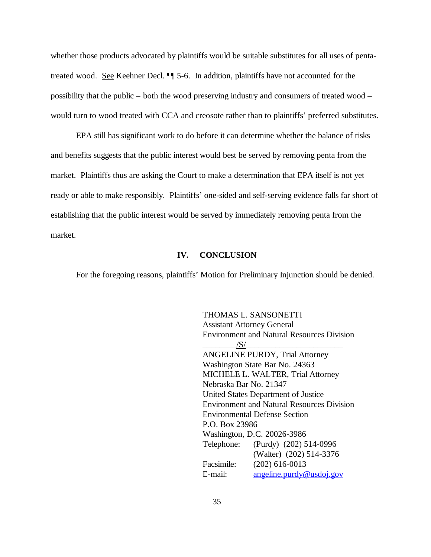whether those products advocated by plaintiffs would be suitable substitutes for all uses of pentatreated wood. See Keehner Decl. ¶¶ 5-6. In addition, plaintiffs have not accounted for the possibility that the public – both the wood preserving industry and consumers of treated wood – would turn to wood treated with CCA and creosote rather than to plaintiffs' preferred substitutes.

EPA still has significant work to do before it can determine whether the balance of risks and benefits suggests that the public interest would best be served by removing penta from the market. Plaintiffs thus are asking the Court to make a determination that EPA itself is not yet ready or able to make responsibly. Plaintiffs' one-sided and self-serving evidence falls far short of establishing that the public interest would be served by immediately removing penta from the market.

### **IV. CONCLUSION**

For the foregoing reasons, plaintiffs' Motion for Preliminary Injunction should be denied.

THOMAS L. SANSONETTI Assistant Attorney General Environment and Natural Resources Division  $\sqrt{S/}$ ANGELINE PURDY, Trial Attorney Washington State Bar No. 24363 MICHELE L. WALTER, Trial Attorney Nebraska Bar No. 21347 United States Department of Justice Environment and Natural Resources Division Environmental Defense Section P.O. Box 23986 Washington, D.C. 20026-3986 Telephone: (Purdy) (202) 514-0996 (Walter) (202) 514-3376 Facsimile: (202) 616-0013 E-mail: angeline.purdy@usdoj.gov